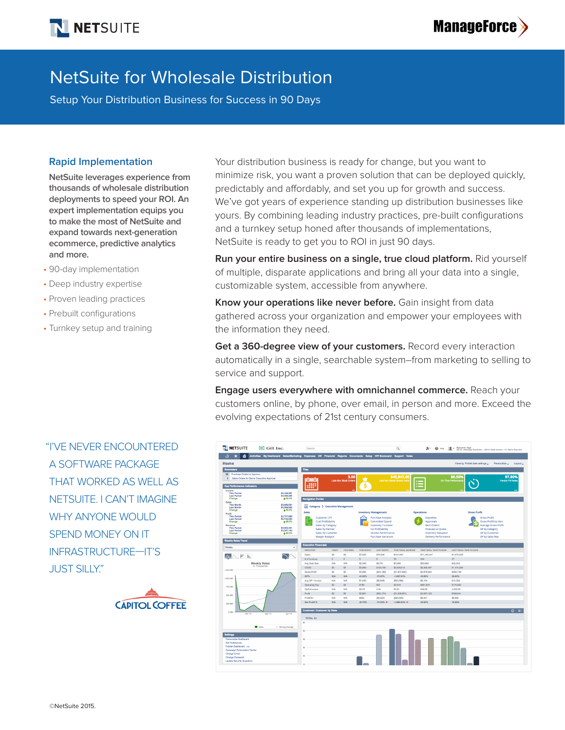

# NetSuite for Wholesale Distribution

Setup Your Distribution Business for Success in 90 Days

#### **Rapid Implementation**

**NetSuite leverages experience from thousands of wholesale distribution deployments to speed your ROI. An expert implementation equips you to make the most of NetSuite and expand towards next-generation ecommerce, predictive analytics and more.**

- 90-day implementation
- Deep industry expertise
- Proven leading practices
- Prebuilt configurations
- Turnkey setup and training

"I'VE NEVER ENCOUNTERED A SOFTWARE PACKAGE THAT WORKED AS WELL AS NETSUITE. I CAN'T IMAGINE WHY ANYONE WOULD SPEND MONEY ON IT INFRASTRUCTURE—IT'S JUST SILLY."



Your distribution business is ready for change, but you want to minimize risk, you want a proven solution that can be deployed quickly, predictably and affordably, and set you up for growth and success. We've got years of experience standing up distribution businesses like yours. By combining leading industry practices, pre-built configurations and a turnkey setup honed after thousands of implementations, NetSuite is ready to get you to ROI in just 90 days.

**Run your entire business on a single, true cloud platform.** Rid yourself of multiple, disparate applications and bring all your data into a single, customizable system, accessible from anywhere.

**Know your operations like never before.** Gain insight from data gathered across your organization and empower your employees with the information they need.

**Get a 360-degree view of your customers.** Record every interaction automatically in a single, searchable system–from marketing to selling to service and support.

**Engage users everywhere with omnichannel commerce.** Reach your customers online, by phone, over email, in person and more. Exceed the evolving expectations of 21st century consumers.